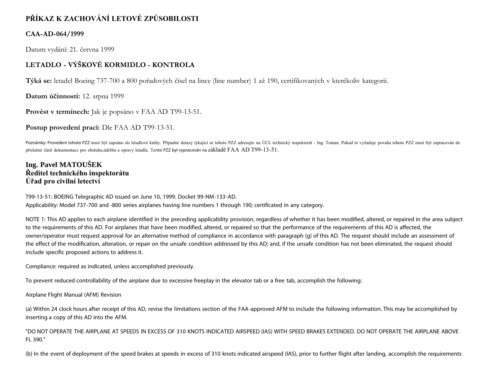# **PŘÍKAZ K ZACHOVÁNÍ LETOVÉ ZPŮSOBILOSTI**

### **CAA-AD-064/1999**

Datum vydání: 21. června 1999

## **LETADLO - VÝŠKOVÉ KORMIDLO - KONTROLA**

**Týká se:** letadel Boeing 737-700 a 800 pořadových čísel na lince (line number) 1 až 190, certifikovaných v kterékoliv kategorii.

**Datum účinnosti:** 12. srpna 1999

**Provést v termínech:** Jak je popsáno v FAA AD T99-13-51.

**Postup provedení prací:** Dle FAA AD T99-13-51.

Poznámky: Provedení tohoto PZZ musí být zapsáno do letadlové knihy. Případné dotazy týkající se tohoto PZZ adresujte na ÚCL technický inspektorát - Ing. Toman. Pokud to vyžaduje povaha tohoto PZZ musí být zapracován do příslušné části dokumentace pro obsluhu,údržbu a opravy letadla. Tento PZZ byl vypracován na základě FAA AD T99-13-51.

### **Ing. Pavel MATOUŠEK Ředitel technického inspektorátu Úřad pro civilní letectví**

T99-13-51: BOEING Telegraphic AD issued on June 10, 1999. Docket 99-NM-133-AD. Applicability: Model 737-700 and -800 series airplanes having line numbers 1 through 190; certificated in any category.

NOTE 1: This AD applies to each airplane identified in the preceding applicability provision, regardless of whether it has been modified, altered, or repaired in the area subject to the requirements of this AD. For airplanes that have been modified, altered, or repaired so that the performance of the requirements of this AD is affected, the owner/operator must request approval for an alternative method of compliance in accordance with paragraph (g) of this AD. The request should include an assessment of the effect of the modification, alteration, or repair on the unsafe condition addressed by this AD; and, if the unsafe condition has not been eliminated, the request should include specific proposed actions to address it.

Compliance: required as indicated, unless accomplished previously.

To prevent reduced controllability of the airplane due to excessive freeplay in the elevator tab or a free tab, accomplish the following:

Airplane Flight Manual (AFM) Revision

(a) Within 24 clock hours after receipt of this AD, revise the limitations section of the FAA-approved AFM to include the following information. This may be accomplished by inserting a copy of this AD into the AFM.

"DO NOT OPERATE THE AIRPLANE AT SPEEDS IN EXCESS OF 310 KNOTS INDICATED AIRSPEED (IAS) WITH SPEED BRAKES EXTENDED. DO NOT OPERATE THE AIRPLANE ABOVE FL 390."

(b) In the event of deployment of the speed brakes at speeds in excess of 310 knots indicated airspeed (IAS), prior to further flight after landing, accomplish the requirements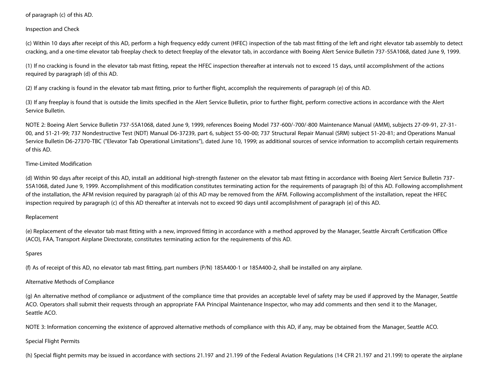of paragraph (c) of this AD.

Inspection and Check

(c) Within 10 days after receipt of this AD, perform a high frequency eddy current (HFEC) inspection of the tab mast fitting of the left and right elevator tab assembly to detect cracking, and a one-time elevator tab freeplay check to detect freeplay of the elevator tab, in accordance with Boeing Alert Service Bulletin 737-55A1068, dated June 9, 1999.

(1) If no cracking is found in the elevator tab mast fitting, repeat the HFEC inspection thereafter at intervals not to exceed 15 days, until accomplishment of the actions required by paragraph (d) of this AD.

(2) If any cracking is found in the elevator tab mast fitting, prior to further flight, accomplish the requirements of paragraph (e) of this AD.

(3) If any freeplay is found that is outside the limits specified in the Alert Service Bulletin, prior to further flight, perform corrective actions in accordance with the Alert Service Bulletin.

NOTE 2: Boeing Alert Service Bulletin 737-55A1068, dated June 9, 1999, references Boeing Model 737-600/-700/-800 Maintenance Manual (AMM), subjects 27-09-91, 27-31- 00, and 51-21-99; 737 Nondestructive Test (NDT) Manual D6-37239, part 6, subject 55-00-00; 737 Structural Repair Manual (SRM) subject 51-20-81; and Operations Manual Service Bulletin D6-27370-TBC ("Elevator Tab Operational Limitations"), dated June 10, 1999; as additional sources of service information to accomplish certain requirements of this AD.

#### Time-Limited Modification

(d) Within 90 days after receipt of this AD, install an additional high-strength fastener on the elevator tab mast fitting in accordance with Boeing Alert Service Bulletin 737- 55A1068, dated June 9, 1999. Accomplishment of this modification constitutes terminating action for the requirements of paragraph (b) of this AD. Following accomplishment of the installation, the AFM revision required by paragraph (a) of this AD may be removed from the AFM. Following accomplishment of the installation, repeat the HFEC inspection required by paragraph (c) of this AD thereafter at intervals not to exceed 90 days until accomplishment of paragraph (e) of this AD.

#### Replacement

(e) Replacement of the elevator tab mast fitting with a new, improved fitting in accordance with a method approved by the Manager, Seattle Aircraft Certification Office (ACO), FAA, Transport Airplane Directorate, constitutes terminating action for the requirements of this AD.

#### Spares

(f) As of receipt of this AD, no elevator tab mast fitting, part numbers (P/N) 185A400-1 or 185A400-2, shall be installed on any airplane.

#### Alternative Methods of Compliance

(g) An alternative method of compliance or adjustment of the compliance time that provides an acceptable level of safety may be used if approved by the Manager, Seattle ACO. Operators shall submit their requests through an appropriate FAA Principal Maintenance Inspector, who may add comments and then send it to the Manager, Seattle ACO.

NOTE 3: Information concerning the existence of approved alternative methods of compliance with this AD, if any, may be obtained from the Manager, Seattle ACO.

#### Special Flight Permits

(h) Special flight permits may be issued in accordance with sections 21.197 and 21.199 of the Federal Aviation Regulations (14 CFR 21.197 and 21.199) to operate the airplane